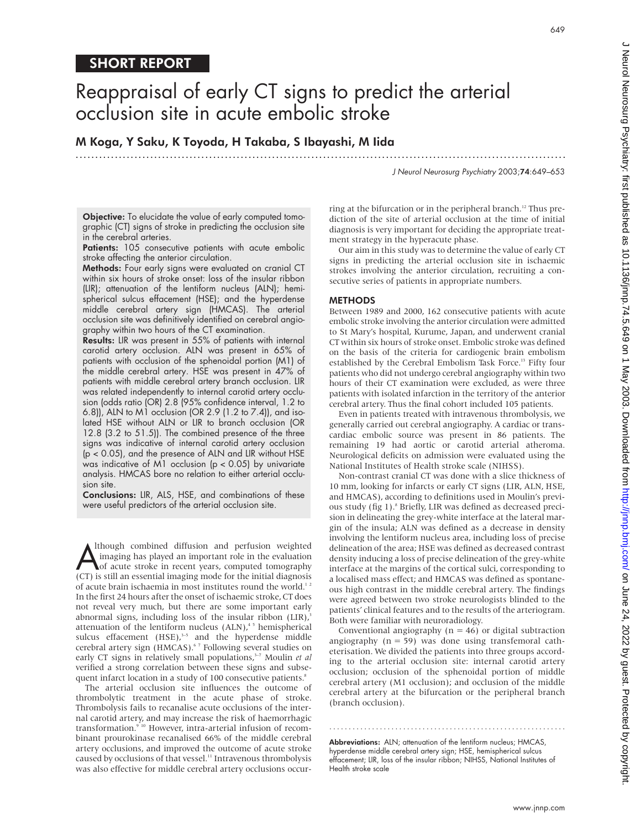# Reappraisal of early CT signs to predict the arterial occlusion site in acute embolic stroke

M Koga, Y Saku, K Toyoda, H Takaba, S Ibayashi, M Iida

.............................................................................................................................

J Neurol Neurosurg Psychiatry 2003;74:649–653

Objective: To elucidate the value of early computed tomographic (CT) signs of stroke in predicting the occlusion site in the cerebral arteries.

Patients: 105 consecutive patients with acute embolic stroke affecting the anterior circulation.

Methods: Four early signs were evaluated on cranial CT within six hours of stroke onset: loss of the insular ribbon (LIR); attenuation of the lentiform nucleus (ALN); hemispherical sulcus effacement (HSE); and the hyperdense middle cerebral artery sign (HMCAS). The arterial occlusion site was definitively identified on cerebral angiography within two hours of the CT examination.

Results: LIR was present in 55% of patients with internal carotid artery occlusion. ALN was present in 65% of patients with occlusion of the sphenoidal portion (M1) of the middle cerebral artery. HSE was present in 47% of patients with middle cerebral artery branch occlusion. LIR was related independently to internal carotid artery occlusion (odds ratio (OR) 2.8 (95% confidence interval, 1.2 to 6.8)), ALN to M1 occlusion (OR 2.9 (1.2 to 7.4)), and isolated HSE without ALN or LIR to branch occlusion (OR 12.8 (3.2 to 51.5)). The combined presence of the three signs was indicative of internal carotid artery occlusion (p < 0.05), and the presence of ALN and LIR without HSE was indicative of M1 occlusion ( $p < 0.05$ ) by univariate analysis. HMCAS bore no relation to either arterial occlusion site.

Conclusions: LIR, ALS, HSE, and combinations of these were useful predictors of the arterial occlusion site.

Although combined diffusion and perfusion weighted<br>
imaging has played an important role in the evaluation<br>
of acute stroke in recent years, computed tomography<br>
(CT) is still an essential imaging mode for the initial diag lthough combined diffusion and perfusion weighted imaging has played an important role in the evaluation of acute stroke in recent years, computed tomography of acute brain ischaemia in most institutes round the world.<sup>12</sup> In the first 24 hours after the onset of ischaemic stroke, CT does not reveal very much, but there are some important early abnormal signs, including loss of the insular ribbon (LIR), attenuation of the lentiform nucleus (ALN),<sup>45</sup> hemispherical sulcus effacement  $(HSE)$ ,<sup>3-5</sup> and the hyperdense middle cerebral artery sign (HMCAS).<sup>67</sup> Following several studies on early CT signs in relatively small populations,<sup>3-7</sup> Moulin *et al* verified a strong correlation between these signs and subsequent infarct location in a study of 100 consecutive patients.<sup>8</sup>

The arterial occlusion site influences the outcome of thrombolytic treatment in the acute phase of stroke. Thrombolysis fails to recanalise acute occlusions of the internal carotid artery, and may increase the risk of haemorrhagic transformation.9 10 However, intra-arterial infusion of recombinant prourokinase recanalised 66% of the middle cerebral artery occlusions, and improved the outcome of acute stroke caused by occlusions of that vessel.<sup>11</sup> Intravenous thrombolysis was also effective for middle cerebral artery occlusions occurring at the bifurcation or in the peripheral branch.<sup>12</sup> Thus prediction of the site of arterial occlusion at the time of initial diagnosis is very important for deciding the appropriate treatment strategy in the hyperacute phase.

Our aim in this study was to determine the value of early CT signs in predicting the arterial occlusion site in ischaemic strokes involving the anterior circulation, recruiting a consecutive series of patients in appropriate numbers.

#### **METHODS**

Between 1989 and 2000, 162 consecutive patients with acute embolic stroke involving the anterior circulation were admitted to St Mary's hospital, Kurume, Japan, and underwent cranial CT within six hours of stroke onset. Embolic stroke was defined on the basis of the criteria for cardiogenic brain embolism established by the Cerebral Embolism Task Force.<sup>13</sup> Fifty four patients who did not undergo cerebral angiography within two hours of their CT examination were excluded, as were three patients with isolated infarction in the territory of the anterior cerebral artery. Thus the final cohort included 105 patients.

Even in patients treated with intravenous thrombolysis, we generally carried out cerebral angiography. A cardiac or transcardiac embolic source was present in 86 patients. The remaining 19 had aortic or carotid arterial atheroma. Neurological deficits on admission were evaluated using the National Institutes of Health stroke scale (NIHSS).

Non-contrast cranial CT was done with a slice thickness of 10 mm, looking for infarcts or early CT signs (LIR, ALN, HSE, and HMCAS), according to definitions used in Moulin's previous study (fig 1).<sup>8</sup> Briefly, LIR was defined as decreased precision in delineating the grey-white interface at the lateral margin of the insula; ALN was defined as a decrease in density involving the lentiform nucleus area, including loss of precise delineation of the area; HSE was defined as decreased contrast density inducing a loss of precise delineation of the grey-white interface at the margins of the cortical sulci, corresponding to a localised mass effect; and HMCAS was defined as spontaneous high contrast in the middle cerebral artery. The findings were agreed between two stroke neurologists blinded to the patients' clinical features and to the results of the arteriogram. Both were familiar with neuroradiology.

Conventional angiography ( $n = 46$ ) or digital subtraction angiography  $(n = 59)$  was done using transfemoral catheterisation. We divided the patients into three groups according to the arterial occlusion site: internal carotid artery occlusion; occlusion of the sphenoidal portion of middle cerebral artery (M1 occlusion); and occlusion of the middle cerebral artery at the bifurcation or the peripheral branch (branch occlusion).

Abbreviations: ALN; attenuation of the lentiform nucleus; HMCAS, hyperdense middle cerebral artery sign; HSE, hemispherical sulcus effacement; LIR, loss of the insular ribbon; NIHSS, National Institutes of Health stroke scale

.............................................................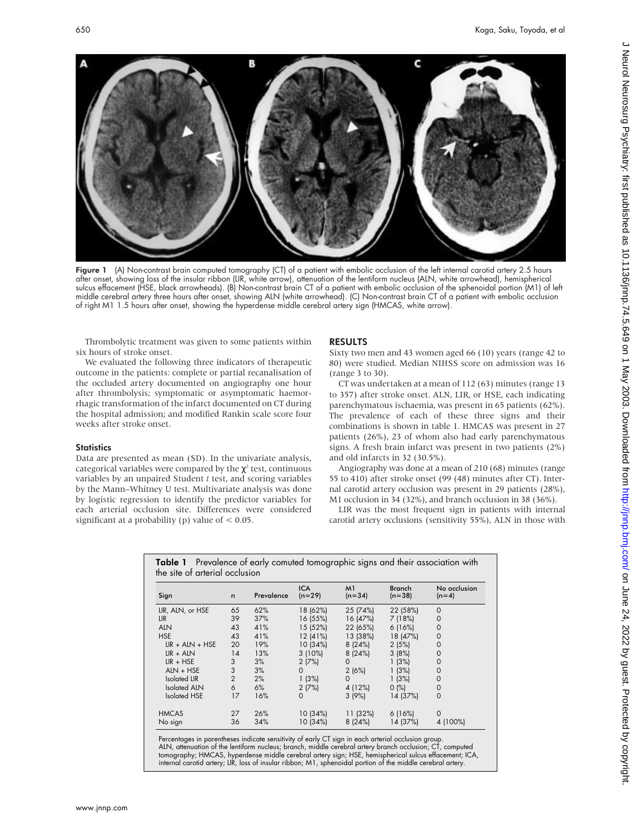

Figure 1 (A) Non-contrast brain computed tomography (CT) of a patient with embolic occlusion of the left internal carotid artery 2.5 hours after onset, showing loss of the insular ribbon (LIR, white arrow), attenuation of the lentiform nucleus (ALN, white arrowhead), hemispherical sulcus effacement (HSE, black arrowheads). (B) Non-contrast brain CT of a patient with embolic occlusion of the sphenoidal portion (M1) of left middle cerebral artery three hours after onset, showing ALN (white arrowhead). (C) Non-contrast brain CT of a patient with embolic occlusion of right M1 1.5 hours after onset, showing the hyperdense middle cerebral artery sign (HMCAS, white arrow).

Thrombolytic treatment was given to some patients within six hours of stroke onset.

We evaluated the following three indicators of therapeutic outcome in the patients: complete or partial recanalisation of the occluded artery documented on angiography one hour after thrombolysis; symptomatic or asymptomatic haemorrhagic transformation of the infarct documented on CT during the hospital admission; and modified Rankin scale score four weeks after stroke onset.

## **Statistics**

Data are presented as mean (SD). In the univariate analysis, categorical variables were compared by the  $\chi^2$  test, continuous variables by an unpaired Student *t* test, and scoring variables by the Mann–Whitney U test. Multivariate analysis was done by logistic regression to identify the predictor variables for each arterial occlusion site. Differences were considered significant at a probability (p) value of  $< 0.05$ .

#### RESULTS

Sixty two men and 43 women aged 66 (10) years (range 42 to 80) were studied. Median NIHSS score on admission was 16 (range 3 to 30).

CT was undertaken at a mean of 112 (63) minutes (range 13 to 357) after stroke onset. ALN, LIR, or HSE, each indicating parenchymatous ischaemia, was present in 65 patients (62%). The prevalence of each of these three signs and their combinations is shown in table 1. HMCAS was present in 27 patients (26%), 23 of whom also had early parenchymatous signs. A fresh brain infarct was present in two patients (2%) and old infarcts in 32 (30.5%).

Angiography was done at a mean of 210 (68) minutes (range 55 to 410) after stroke onset (99 (48) minutes after CT). Internal carotid artery occlusion was present in 29 patients (28%), M1 occlusion in 34 (32%), and branch occlusion in 38 (36%).

LIR was the most frequent sign in patients with internal carotid artery occlusions (sensitivity 55%), ALN in those with

| the site of arterial occlusion |                |            |                 |                            |                           |                         |
|--------------------------------|----------------|------------|-----------------|----------------------------|---------------------------|-------------------------|
| Sign                           | n              | Prevalence | ICA<br>$(n=29)$ | M <sub>1</sub><br>$(n=34)$ | <b>Branch</b><br>$(n=38)$ | No occlusion<br>$(n=4)$ |
| LIR, ALN, or HSE               | 65             | 62%        | 18 (62%)        | 25 (74%)                   | 22 (58%)                  | $\mathbf 0$             |
| lir                            | 39             | 37%        | 16 (55%)        | 16 (47%)                   | 7 (18%)                   | $\mathbf 0$             |
| <b>ALN</b>                     | 43             | 41%        | 15 (52%)        | 22 (65%)                   | 6(16%)                    | $\mathbf 0$             |
| <b>HSE</b>                     | 43             | 41%        | 12(41%)         | 13 (38%)                   | 18 (47%)                  | $\mathbf 0$             |
| $LIR + ALN + HSE$              | 20             | 19%        | 10(34%)         | 8(24%)                     | 2(5%)                     | 0                       |
| $LIR + ALN$                    | 14             | 13%        | $3(10\%)$       | 8(24%)                     | 3(8%)                     | 0                       |
| $LIR + HSE$                    | 3              | 3%         | 2(7%)           | $\Omega$                   | 1(3%)                     | 0                       |
| $ALN + HSE$                    | 3              | 3%         | 0               | 2(6%)                      | 1(3%)                     | 0                       |
| <b>Isolated LIR</b>            | $\overline{2}$ | 2%         | 1(3%)           | $\Omega$                   | 1(3%)                     | 0                       |
| <b>Isolated ALN</b>            | 6              | 6%         | 2(7%)           | 4 (12%)                    | 0(%)                      | 0                       |
| <b>Isolated HSE</b>            | 17             | 16%        | 0               | 3(9%)                      | 14 (37%)                  | $\mathbf 0$             |
| <b>HMCAS</b>                   | 27             | 26%        | 10(34%)         | 11 (32%)                   | 6(16%)                    | $\Omega$                |
| No sign                        | 36             | 34%        | 10 (34%)        | 8(24%)                     | 14 (37%)                  | 4 (100%)                |

Table 1 Prevalence of early comuted tomographic signs and their association with the site of arterial occlusion

Percentages in parentheses indicate sensitivity of early CT sign in each arterial occlusion group. ALN, attenuation of the lentiform nucleus; branch, middle cerebral artery branch occlusion; CT, computed tomography; HMCAS, hyperdense middle cerebral artery sign; HSE, hemispherical sulcus effacement; ICA, internal carotid artery; LIR, loss of insular ribbon; M1, sphenoidal portion of the middle cerebral artery.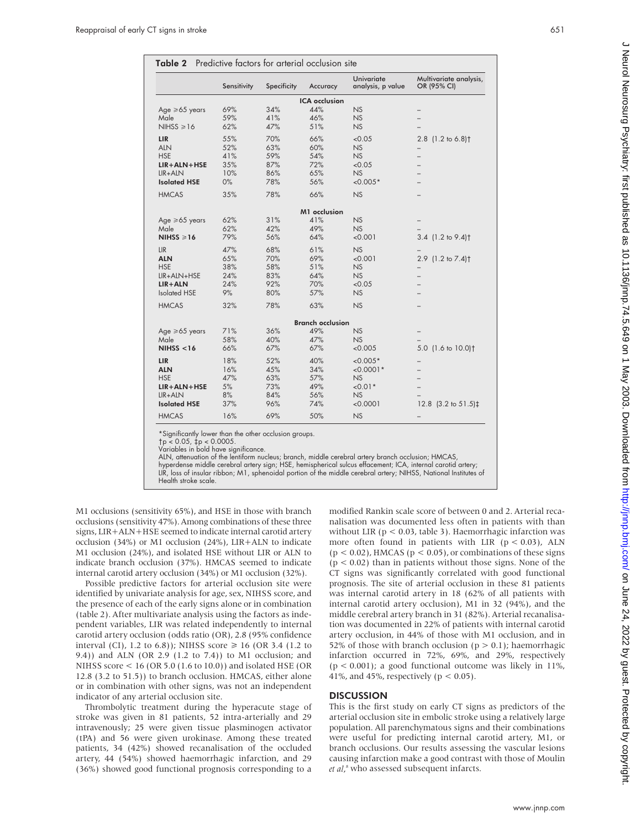| Table 2             | Predictive factors for arterial occlusion site |             |                         |                                 |                                       |
|---------------------|------------------------------------------------|-------------|-------------------------|---------------------------------|---------------------------------------|
|                     | Sensitivity                                    | Specificity | Accuracy                | Univariate<br>analysis, p value | Multivariate analysis,<br>OR (95% CI) |
|                     |                                                |             | <b>ICA</b> occlusion    |                                 |                                       |
| Age $\geq 65$ years | 69%                                            | 34%         | 44%                     | NS                              |                                       |
| Male                | 59%                                            | 41%         | 46%                     | <b>NS</b>                       |                                       |
| $NIHSS \ge 16$      | 62%                                            | 47%         | 51%                     | <b>NS</b>                       |                                       |
| <b>LIR</b>          | 55%                                            | 70%         | 66%                     | < 0.05                          | 2.8 (1.2 to 6.8) <sup>†</sup>         |
| <b>ALN</b>          | 52%                                            | 63%         | 60%                     | <b>NS</b>                       |                                       |
| <b>HSE</b>          | 41%                                            | 59%         | 54%                     | <b>NS</b>                       |                                       |
| $LIR+ALN+HSE$       | 35%                                            | 87%         | 72%                     | < 0.05                          |                                       |
| $LIR+ALN$           | 10%                                            | 86%         | 65%                     | <b>NS</b>                       |                                       |
| <b>Isolated HSE</b> | 0%                                             | 78%         | 56%                     | $<0.005*$                       |                                       |
| <b>HMCAS</b>        | 35%                                            | 78%         | 66%                     | NS                              |                                       |
|                     |                                                |             | M1 occlusion            |                                 |                                       |
| Age $\geq 65$ years | 62%                                            | 31%         | 41%                     | <b>NS</b>                       |                                       |
| Male                | 62%                                            | 42%         | 49%                     | <b>NS</b>                       |                                       |
| NIHSS $\ge 16$      | 79%                                            | 56%         | 64%                     | < 0.001                         | 3.4 (1.2 to 9.4) <sup>†</sup>         |
| <b>LIR</b>          | 47%                                            | 68%         | 61%                     | <b>NS</b>                       |                                       |
| <b>ALN</b>          | 65%                                            | 70%         | 69%                     | < 0.001                         | 2.9 (1.2 to 7.4) <sup>†</sup>         |
| <b>HSE</b>          | 38%                                            | 58%         | 51%                     | <b>NS</b>                       |                                       |
| LIR+ALN+HSE         | 24%                                            | 83%         | 64%                     | <b>NS</b>                       |                                       |
| $LIR+ALN$           | 24%                                            | 92%         | 70%                     | < 0.05                          |                                       |
| <b>Isolated HSE</b> | 9%                                             | 80%         | 57%                     | NS                              |                                       |
| <b>HMCAS</b>        | 32%                                            | 78%         | 63%                     | <b>NS</b>                       |                                       |
|                     |                                                |             | <b>Branch occlusion</b> |                                 |                                       |
| Age $\geq 65$ years | 71%                                            | 36%         | 49%                     | NS                              |                                       |
| Male                | 58%                                            | 40%         | 47%                     | <b>NS</b>                       |                                       |
| NIHSS < 16          | 66%                                            | 67%         | 67%                     | < 0.005                         | 5.0 (1.6 to 10.0) <sup>†</sup>        |
| <b>LIR</b>          | 18%                                            | 52%         | 40%                     | $< 0.005*$                      |                                       |
| <b>ALN</b>          | 16%                                            | 45%         | 34%                     | $<0.0001*$                      |                                       |
| <b>HSE</b>          | 47%                                            | 63%         | 57%                     | NS                              |                                       |
| $LIR+ALN+HSE$       | 5%                                             | 73%         | 49%                     | $< 0.01*$                       |                                       |
| LIR+ALN             | 8%                                             | 84%         | 56%                     | <b>NS</b>                       |                                       |
| <b>Isolated HSE</b> | 37%                                            | 96%         | 74%                     |                                 |                                       |
|                     |                                                |             |                         | < 0.0001                        | 12.8 (3.2 to 51.5)‡                   |
| <b>HMCAS</b>        | 16%                                            | 69%         | 50%                     | NS                              | -                                     |

\*Significantly lower than the other occlusion groups.

†p < 0.05, ‡p < 0.0005.

Variables in bold have significance.

ALN, attenuation of the lentiform nucleus; branch, middle cerebral artery branch occlusion; HMCAS,

hyperdense middle cerebral artery sign; HSE, hemispherical sulcus effacement; ICA, internal carotid artery; LIR, loss of insular ribbon; M1, sphenoidal portion of the middle cerebral artery; NIHSS, National Institutes of

Health stroke scale.

M1 occlusions (sensitivity 65%), and HSE in those with branch occlusions (sensitivity 47%). Among combinations of these three signs, LIR+ALN+HSE seemed to indicate internal carotid artery occlusion (34%) or M1 occlusion (24%), LIR+ALN to indicate M1 occlusion (24%), and isolated HSE without LIR or ALN to indicate branch occlusion (37%). HMCAS seemed to indicate internal carotid artery occlusion (34%) or M1 occlusion (32%).

Possible predictive factors for arterial occlusion site were identified by univariate analysis for age, sex, NIHSS score, and the presence of each of the early signs alone or in combination (table 2). After multivariate analysis using the factors as independent variables, LIR was related independently to internal carotid artery occlusion (odds ratio (OR), 2.8 (95% confidence interval (CI), 1.2 to 6.8)); NIHSS score  $\geq$  16 (OR 3.4 (1.2 to 9.4)) and ALN (OR 2.9 (1.2 to 7.4)) to M1 occlusion; and NIHSS score < 16 (OR 5.0 (1.6 to 10.0)) and isolated HSE (OR 12.8 (3.2 to 51.5)) to branch occlusion. HMCAS, either alone or in combination with other signs, was not an independent indicator of any arterial occlusion site.

Thrombolytic treatment during the hyperacute stage of stroke was given in 81 patients, 52 intra-arterially and 29 intravenously; 25 were given tissue plasminogen activator (tPA) and 56 were given urokinase. Among these treated patients, 34 (42%) showed recanalisation of the occluded artery, 44 (54%) showed haemorrhagic infarction, and 29 (36%) showed good functional prognosis corresponding to a

modified Rankin scale score of between 0 and 2. Arterial recanalisation was documented less often in patients with than without LIR ( $p < 0.03$ , table 3). Haemorrhagic infarction was more often found in patients with LIR ( $p < 0.03$ ), ALN  $(p < 0.02)$ , HMCAS  $(p < 0.05)$ , or combinations of these signs  $(p < 0.02)$  than in patients without those signs. None of the CT signs was significantly correlated with good functional prognosis. The site of arterial occlusion in these 81 patients was internal carotid artery in 18 (62% of all patients with internal carotid artery occlusion), M1 in 32 (94%), and the middle cerebral artery branch in 31 (82%). Arterial recanalisation was documented in 22% of patients with internal carotid artery occlusion, in 44% of those with M1 occlusion, and in 52% of those with branch occlusion ( $p > 0.1$ ); haemorrhagic infarction occurred in 72%, 69%, and 29%, respectively  $(p < 0.001)$ ; a good functional outcome was likely in 11%, 41%, and 45%, respectively ( $p < 0.05$ ).

### **DISCUSSION**

This is the first study on early CT signs as predictors of the arterial occlusion site in embolic stroke using a relatively large population. All parenchymatous signs and their combinations were useful for predicting internal carotid artery, M1, or branch occlusions. Our results assessing the vascular lesions causing infarction make a good contrast with those of Moulin *et al*, <sup>8</sup> who assessed subsequent infarcts.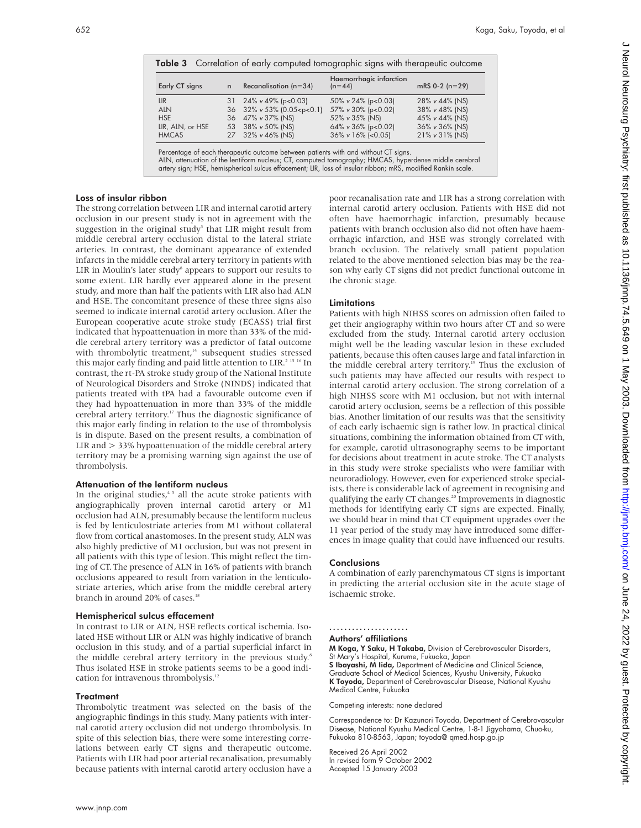| Early CT signs<br>n |    |                               | Haemorrhagic infarction  |                      |
|---------------------|----|-------------------------------|--------------------------|----------------------|
|                     |    | Recanalisation ( $n=34$ )     | $(n=44)$                 | $mRS$ 0-2 ( $n=29$ ) |
| LIR.                |    | 31 $24\%$ v 49% (p < 0.03)    | 50% v 24% ( $p < 0.03$ ) | 28% v 44% (NS)       |
| <b>ALN</b>          |    | 36 32% v 53% (0.05 < p < 0.1) | 57% v 30% (p < 0.02)     | 38% v 48% (NS)       |
| <b>HSE</b>          | 36 | 47% v 37% (NS)                | 52% v 35% (NS)           | 45% v 44% (NS)       |
| LIR, ALN, or HSE    |    | 53 38% v 50% (NS)             | 64% v 36% (p < 0.02)     | 36% v 36% (NS)       |
| <b>HMCAS</b>        | 27 | 32% v 46% (NS)                | $36\%$ v $16\%$ (<0.05)  | 21% v 31% (NS)       |

Percentage of each therapeutic outcome between patients with and without CT signs.

ALN, attenuation of the lentiform nucleus; CT, computed tomography; HMCAS, hyperdense middle cerebral artery sign; HSE, hemispherical sulcus effacement; LIR, loss of insular ribbon; mRS, modified Rankin scale.

## Loss of insular ribbon

The strong correlation between LIR and internal carotid artery occlusion in our present study is not in agreement with the suggestion in the original study<sup>3</sup> that LIR might result from middle cerebral artery occlusion distal to the lateral striate arteries. In contrast, the dominant appearance of extended infarcts in the middle cerebral artery territory in patients with LIR in Moulin's later study $^8$  appears to support our results to some extent. LIR hardly ever appeared alone in the present study, and more than half the patients with LIR also had ALN and HSE. The concomitant presence of these three signs also seemed to indicate internal carotid artery occlusion. After the European cooperative acute stroke study (ECASS) trial first indicated that hypoattenuation in more than 33% of the middle cerebral artery territory was a predictor of fatal outcome with thrombolytic treatment,<sup>14</sup> subsequent studies stressed this major early finding and paid little attention to LIR.<sup>2 15 16</sup> In contrast, the rt-PA stroke study group of the National Institute of Neurological Disorders and Stroke (NINDS) indicated that patients treated with tPA had a favourable outcome even if they had hypoattenuation in more than 33% of the middle cerebral artery territory.<sup>17</sup> Thus the diagnostic significance of this major early finding in relation to the use of thrombolysis is in dispute. Based on the present results, a combination of LIR and > 33% hypoattenuation of the middle cerebral artery territory may be a promising warning sign against the use of thrombolysis.

## Attenuation of the lentiform nucleus

In the original studies, $45$  all the acute stroke patients with angiographically proven internal carotid artery or M1 occlusion had ALN, presumably because the lentiform nucleus is fed by lenticulostriate arteries from M1 without collateral flow from cortical anastomoses. In the present study, ALN was also highly predictive of M1 occlusion, but was not present in all patients with this type of lesion. This might reflect the timing of CT. The presence of ALN in 16% of patients with branch occlusions appeared to result from variation in the lenticulostriate arteries, which arise from the middle cerebral artery branch in around 20% of cases.<sup>18</sup>

#### Hemispherical sulcus effacement

In contrast to LIR or ALN, HSE reflects cortical ischemia. Isolated HSE without LIR or ALN was highly indicative of branch occlusion in this study, and of a partial superficial infarct in the middle cerebral artery territory in the previous study.<sup>8</sup> Thus isolated HSE in stroke patients seems to be a good indication for intravenous thrombolysis.<sup>12</sup>

#### **Treatment**

Thrombolytic treatment was selected on the basis of the angiographic findings in this study. Many patients with internal carotid artery occlusion did not undergo thrombolysis. In spite of this selection bias, there were some interesting correlations between early CT signs and therapeutic outcome. Patients with LIR had poor arterial recanalisation, presumably because patients with internal carotid artery occlusion have a

poor recanalisation rate and LIR has a strong correlation with internal carotid artery occlusion. Patients with HSE did not often have haemorrhagic infarction, presumably because patients with branch occlusion also did not often have haemorrhagic infarction, and HSE was strongly correlated with branch occlusion. The relatively small patient population related to the above mentioned selection bias may be the reason why early CT signs did not predict functional outcome in the chronic stage.

## Limitations

Patients with high NIHSS scores on admission often failed to get their angiography within two hours after CT and so were excluded from the study. Internal carotid artery occlusion might well be the leading vascular lesion in these excluded patients, because this often causes large and fatal infarction in the middle cerebral artery territory.<sup>19</sup> Thus the exclusion of such patients may have affected our results with respect to internal carotid artery occlusion. The strong correlation of a high NIHSS score with M1 occlusion, but not with internal carotid artery occlusion, seems be a reflection of this possible bias. Another limitation of our results was that the sensitivity of each early ischaemic sign is rather low. In practical clinical situations, combining the information obtained from CT with, for example, carotid ultrasonography seems to be important for decisions about treatment in acute stroke. The CT analysts in this study were stroke specialists who were familiar with neuroradiology. However, even for experienced stroke specialists, there is considerable lack of agreement in recognising and qualifying the early CT changes.<sup>20</sup> Improvements in diagnostic methods for identifying early CT signs are expected. Finally, we should bear in mind that CT equipment upgrades over the 11 year period of the study may have introduced some differences in image quality that could have influenced our results.

## Conclusions

A combination of early parenchymatous CT signs is important in predicting the arterial occlusion site in the acute stage of ischaemic stroke.

#### .....................

## Authors' affiliations

M Koga, Y Saku, H Takaba, Division of Cerebrovascular Disorders, St Mary's Hospital, Kurume, Fukuoka, Japan S Ibayashi, M Iida, Department of Medicine and Clinical Science,

Graduate School of Medical Sciences, Kyushu University, Fukuoka K Toyoda, Department of Cerebrovascular Disease, National Kyushu Medical Centre, Fukuoka

Competing interests: none declared

Correspondence to: Dr Kazunori Toyoda, Department of Cerebrovascular Disease, National Kyushu Medical Centre, 1-8-1 Jigyohama, Chuo-ku, Fukuoka 810-8563, Japan; toyoda@ qmed.hosp.go.jp

Received 26 April 2002 In revised form 9 October 2002 Accepted 15 January 2003